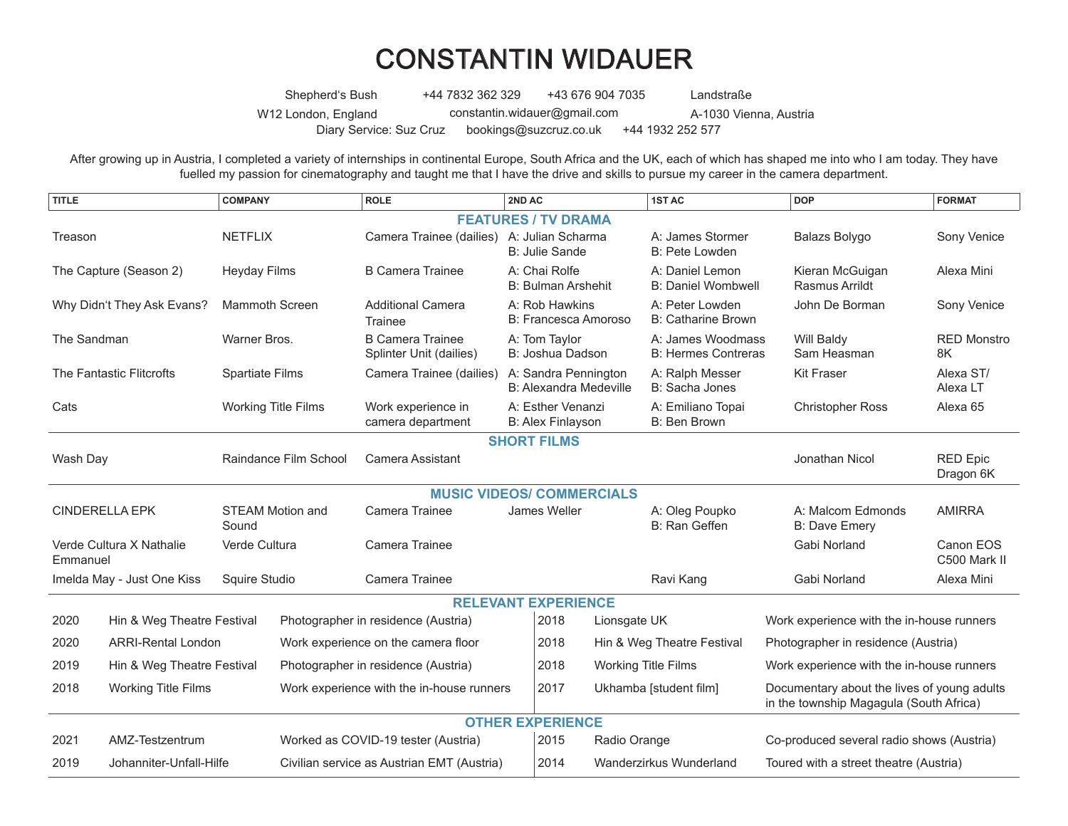## CONSTANTIN WIDAUER

Shepherd's Bush W12 London, England +44 7832 362 329 +43 676 904 7035 Landstraße [constantin.widauer@gmail.com](mailto:constantin.widauer%40gmail.com?subject=) A-1030 Vienna, Austria Diary Service: Suz Cruz [bookings@suzcruz.co.uk](mailto:bookings%40suzcruz.co.uk?subject=) +44 1932 252 577

After growing up in Austria, I completed a variety of internships in continental Europe, South Africa and the UK, each of which has shaped me into who I am today. They have fuelled my passion for cinematography and taught me that I have the drive and skills to pursue my career in the camera department.

| <b>TITLE</b>                         |                            | <b>COMPANY</b>                   |  | <b>ROLE</b>                                        |                                                       | 2ND AC                                     |                                   | <b>1ST AC</b>                                   |                                                                                        | <b>DOP</b>                                | <b>FORMAT</b>                |
|--------------------------------------|----------------------------|----------------------------------|--|----------------------------------------------------|-------------------------------------------------------|--------------------------------------------|-----------------------------------|-------------------------------------------------|----------------------------------------------------------------------------------------|-------------------------------------------|------------------------------|
| <b>FEATURES / TV DRAMA</b>           |                            |                                  |  |                                                    |                                                       |                                            |                                   |                                                 |                                                                                        |                                           |                              |
| Treason                              |                            | <b>NETFLIX</b>                   |  | Camera Trainee (dailies) A: Julian Scharma         |                                                       | B: Julie Sande                             |                                   | A: James Stormer<br><b>B: Pete Lowden</b>       |                                                                                        | Balazs Bolygo                             | Sony Venice                  |
| The Capture (Season 2)               |                            | <b>Heyday Films</b>              |  | <b>B Camera Trainee</b>                            |                                                       | A: Chai Rolfe<br><b>B: Bulman Arshehit</b> |                                   | A: Daniel Lemon<br><b>B: Daniel Wombwell</b>    |                                                                                        | Kieran McGuigan<br>Rasmus Arrildt         | Alexa Mini                   |
| Why Didn't They Ask Evans?           |                            | Mammoth Screen                   |  | <b>Additional Camera</b><br>Trainee                |                                                       | A: Rob Hawkins<br>B: Francesca Amoroso     |                                   | A: Peter Lowden<br>B: Catharine Brown           |                                                                                        | John De Borman                            | Sony Venice                  |
| The Sandman                          |                            | Warner Bros.                     |  | <b>B Camera Trainee</b><br>Splinter Unit (dailies) | A: Tom Taylor<br>B: Joshua Dadson                     |                                            |                                   | A: James Woodmass<br><b>B: Hermes Contreras</b> |                                                                                        | Will Baldy<br>Sam Heasman                 | <b>RED Monstro</b><br>8K     |
| The Fantastic Flitcrofts             |                            | Spartiate Films                  |  | Camera Trainee (dailies)                           | A: Sandra Pennington<br><b>B: Alexandra Medeville</b> |                                            | A: Ralph Messer<br>B: Sacha Jones | <b>Kit Fraser</b>                               |                                                                                        | Alexa ST/<br>Alexa LT                     |                              |
| Cats                                 |                            | <b>Working Title Films</b>       |  | Work experience in<br>camera department            | A: Esther Venanzi<br><b>B: Alex Finlayson</b>         |                                            |                                   | A: Emiliano Topai<br>B: Ben Brown               |                                                                                        | <b>Christopher Ross</b>                   | Alexa <sub>65</sub>          |
| <b>SHORT FILMS</b>                   |                            |                                  |  |                                                    |                                                       |                                            |                                   |                                                 |                                                                                        |                                           |                              |
| Wash Day                             |                            | Raindance Film School            |  | <b>Camera Assistant</b>                            |                                                       |                                            |                                   |                                                 |                                                                                        | Jonathan Nicol                            | <b>RED Epic</b><br>Dragon 6K |
| <b>MUSIC VIDEOS/ COMMERCIALS</b>     |                            |                                  |  |                                                    |                                                       |                                            |                                   |                                                 |                                                                                        |                                           |                              |
| <b>CINDERELLA EPK</b>                |                            | <b>STEAM Motion and</b><br>Sound |  | Camera Trainee                                     |                                                       | James Weller                               |                                   | A: Oleg Poupko<br>B: Ran Geffen                 |                                                                                        | A: Malcom Edmonds<br><b>B: Dave Emery</b> | <b>AMIRRA</b>                |
| Verde Cultura X Nathalie<br>Emmanuel |                            | Verde Cultura                    |  | Camera Trainee                                     |                                                       |                                            |                                   |                                                 |                                                                                        | Gabi Norland                              | Canon EOS<br>C500 Mark II    |
| Imelda May - Just One Kiss           |                            | Squire Studio                    |  | Camera Trainee                                     |                                                       |                                            |                                   | Ravi Kang                                       |                                                                                        | Gabi Norland                              | Alexa Mini                   |
| <b>RELEVANT EXPERIENCE</b>           |                            |                                  |  |                                                    |                                                       |                                            |                                   |                                                 |                                                                                        |                                           |                              |
| 2020                                 | Hin & Weg Theatre Festival |                                  |  | Photographer in residence (Austria)                |                                                       | 2018                                       |                                   | Lionsgate UK                                    |                                                                                        | Work experience with the in-house runners |                              |
| 2020<br><b>ARRI-Rental London</b>    |                            |                                  |  | Work experience on the camera floor                |                                                       | 2018                                       | Hin & Weg Theatre Festival        |                                                 | Photographer in residence (Austria)                                                    |                                           |                              |
| 2019<br>Hin & Weg Theatre Festival   |                            |                                  |  | Photographer in residence (Austria)                |                                                       | 2018                                       |                                   | <b>Working Title Films</b>                      |                                                                                        | Work experience with the in-house runners |                              |
| 2018<br><b>Working Title Films</b>   |                            |                                  |  | Work experience with the in-house runners          |                                                       | 2017                                       | Ukhamba [student film]            |                                                 | Documentary about the lives of young adults<br>in the township Magagula (South Africa) |                                           |                              |
| <b>OTHER EXPERIENCE</b>              |                            |                                  |  |                                                    |                                                       |                                            |                                   |                                                 |                                                                                        |                                           |                              |
| 2021<br>AMZ-Testzentrum              |                            |                                  |  | Worked as COVID-19 tester (Austria)                |                                                       | 2015                                       | Radio Orange                      |                                                 | Co-produced several radio shows (Austria)                                              |                                           |                              |
| 2019<br>Johanniter-Unfall-Hilfe      |                            |                                  |  | Civilian service as Austrian EMT (Austria)         |                                                       | 2014                                       | Wanderzirkus Wunderland           |                                                 | Toured with a street theatre (Austria)                                                 |                                           |                              |